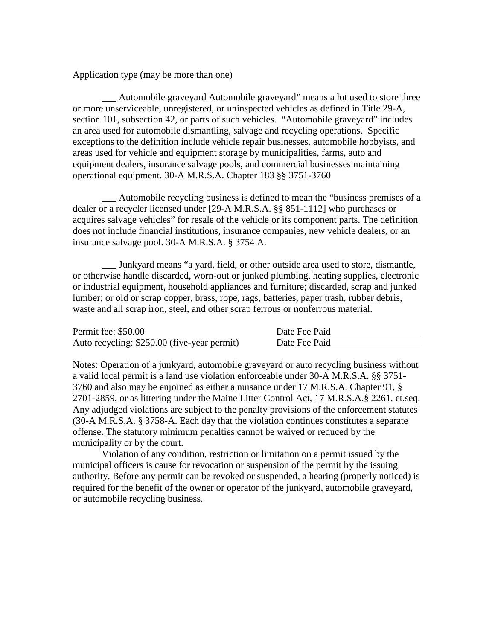Application type (may be more than one)

Automobile graveyard Automobile graveyard" means a lot used to store three or more unserviceable, unregistered, or uninspected vehicles as defined in Title 29-A, section 101, subsection 42, or parts of such vehicles. "Automobile graveyard" includes an area used for automobile dismantling, salvage and recycling operations. Specific exceptions to the definition include vehicle repair businesses, automobile hobbyists, and areas used for vehicle and equipment storage by municipalities, farms, auto and equipment dealers, insurance salvage pools, and commercial businesses maintaining operational equipment. 30-A M.R.S.A. Chapter 183 §§ 3751-3760

\_\_\_ Automobile recycling business is defined to mean the "business premises of a dealer or a recycler licensed under [29-A M.R.S.A. §§ 851-1112] who purchases or acquires salvage vehicles" for resale of the vehicle or its component parts. The definition does not include financial institutions, insurance companies, new vehicle dealers, or an insurance salvage pool. 30-A M.R.S.A. § 3754 A.

\_\_\_ Junkyard means "a yard, field, or other outside area used to store, dismantle, or otherwise handle discarded, worn-out or junked plumbing, heating supplies, electronic or industrial equipment*,* household appliances and furniture; discarded, scrap and junked lumber; or old or scrap copper, brass, rope, rags, batteries, paper trash, rubber debris, waste and all scrap iron, steel, and other scrap ferrous or nonferrous material.

| Permit fee: \$50.00                         | Date Fee Paid |
|---------------------------------------------|---------------|
| Auto recycling: \$250.00 (five-year permit) | Date Fee Paid |

Notes: Operation of a junkyard, automobile graveyard or auto recycling business without a valid local permit is a land use violation enforceable under 30-A M.R.S.A. §§ 3751- 3760 and also may be enjoined as either a nuisance under 17 M.R.S.A. Chapter 91, § 2701-2859, or as littering under the Maine Litter Control Act, 17 M.R.S.A.§ 2261, et.seq. Any adjudged violations are subject to the penalty provisions of the enforcement statutes (30-A M.R.S.A. § 3758-A. Each day that the violation continues constitutes a separate offense. The statutory minimum penalties cannot be waived or reduced by the municipality or by the court.

Violation of any condition, restriction or limitation on a permit issued by the municipal officers is cause for revocation or suspension of the permit by the issuing authority. Before any permit can be revoked or suspended, a hearing (properly noticed) is required for the benefit of the owner or operator of the junkyard, automobile graveyard, or automobile recycling business.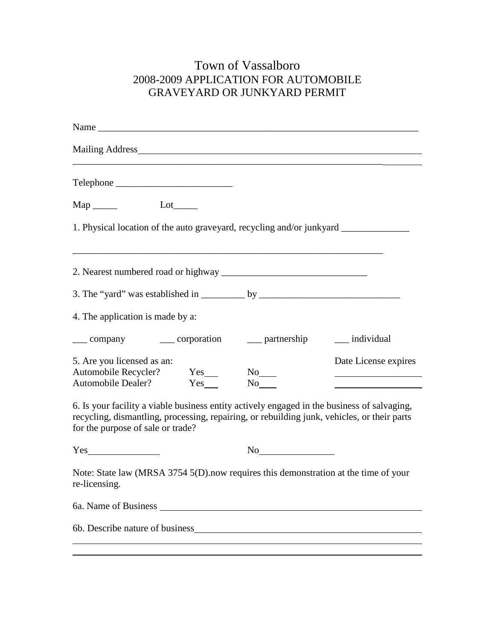## Town of Vassalboro 2008-2009 APPLICATION FOR AUTOMOBILE GRAVEYARD OR JUNKYARD PERMIT

| Name                                                                                                                                                                                                                            |    |                      |
|---------------------------------------------------------------------------------------------------------------------------------------------------------------------------------------------------------------------------------|----|----------------------|
|                                                                                                                                                                                                                                 |    |                      |
|                                                                                                                                                                                                                                 |    |                      |
|                                                                                                                                                                                                                                 |    |                      |
| 1. Physical location of the auto graveyard, recycling and/or junkyard __________                                                                                                                                                |    |                      |
|                                                                                                                                                                                                                                 |    |                      |
| 3. The "yard" was established in $\_\_\_\_$ by $\_\_\_\_\_\_$                                                                                                                                                                   |    |                      |
| 4. The application is made by a:                                                                                                                                                                                                |    |                      |
| ____ company ______ corporation _____ partnership _____ individual                                                                                                                                                              |    |                      |
| 5. Are you licensed as an:                                                                                                                                                                                                      |    | Date License expires |
| 6. Is your facility a viable business entity actively engaged in the business of salvaging,<br>recycling, dismantling, processing, repairing, or rebuilding junk, vehicles, or their parts<br>for the purpose of sale or trade? |    |                      |
|                                                                                                                                                                                                                                 | No |                      |
| Note: State law (MRSA 3754 5(D).now requires this demonstration at the time of your<br>re-licensing.                                                                                                                            |    |                      |
|                                                                                                                                                                                                                                 |    |                      |
|                                                                                                                                                                                                                                 |    |                      |
|                                                                                                                                                                                                                                 |    |                      |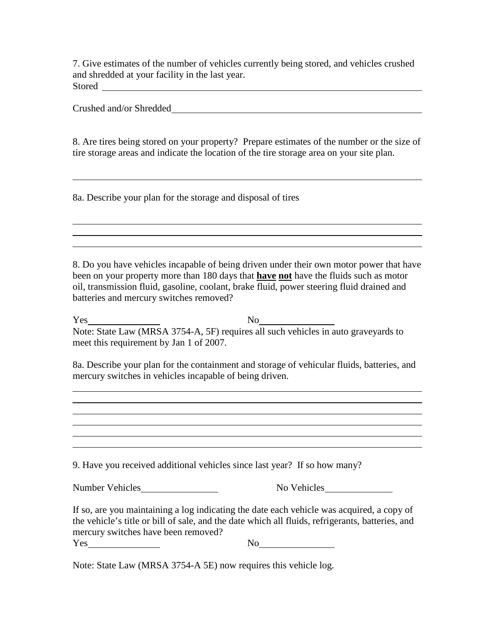7. Give estimates of the number of vehicles currently being stored, and vehicles crushed and shredded at your facility in the last year. Stored <u>and a second contract of the state of the state of the state of the state of the state of the state of the state of the state of the state of the state of the state of the state of the state of the state of the sta</u>

Crushed and/or Shredded

8. Are tires being stored on your property? Prepare estimates of the number or the size of tire storage areas and indicate the location of the tire storage area on your site plan.

8a. Describe your plan for the storage and disposal of tires

8. Do you have vehicles incapable of being driven under their own motor power that have been on your property more than 180 days that **have not** have the fluids such as motor oil, transmission fluid, gasoline, coolant, brake fluid, power steering fluid drained and batteries and mercury switches removed?

Yes No Note: State Law (MRSA 3754-A, 5F) requires all such vehicles in auto graveyards to meet this requirement by Jan 1 of 2007.

8a. Describe your plan for the containment and storage of vehicular fluids, batteries, and mercury switches in vehicles incapable of being driven.

9. Have you received additional vehicles since last year? If so how many?

Number Vehicles No Vehicles No Vehicles

If so, are you maintaining a log indicating the date each vehicle was acquired, a copy of the vehicle's title or bill of sale, and the date which all fluids, refrigerants, batteries, and mercury switches have been removed?

Yes No

Note: State Law (MRSA 3754-A 5E) now requires this vehicle log.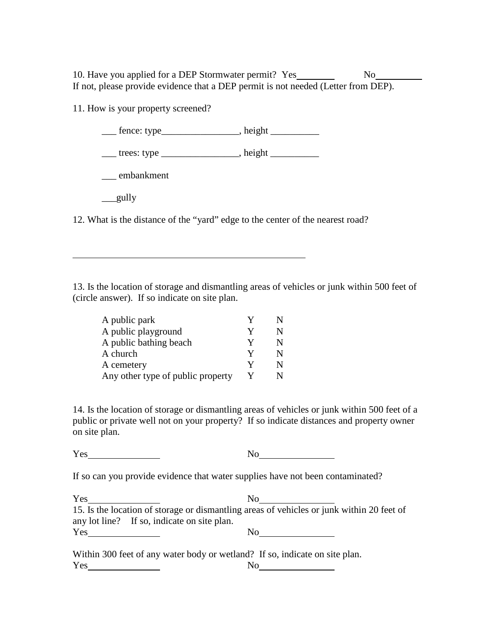10. Have you applied for a DEP Stormwater permit? Yes No If not, please provide evidence that a DEP permit is not needed (Letter from DEP).

11. How is your property screened?

\_\_\_ fence: type\_\_\_\_\_\_\_\_\_\_\_\_\_\_\_\_, height \_\_\_\_\_\_\_\_\_\_

\_\_\_ trees: type \_\_\_\_\_\_\_\_\_\_\_\_\_\_\_\_, height \_\_\_\_\_\_\_\_\_\_

\_\_\_ embankment

 $\_\$ gully

12. What is the distance of the "yard" edge to the center of the nearest road?

13. Is the location of storage and dismantling areas of vehicles or junk within 500 feet of (circle answer). If so indicate on site plan.

| A public park                     |   |   |
|-----------------------------------|---|---|
| A public playground               | Y | N |
| A public bathing beach            | v | N |
| A church                          | V | N |
| A cemetery                        | v | N |
| Any other type of public property |   | N |

14. Is the location of storage or dismantling areas of vehicles or junk within 500 feet of a public or private well not on your property? If so indicate distances and property owner on site plan.

Yes No. 1995

If so can you provide evidence that water supplies have not been contaminated?

Yes No 15. Is the location of storage or dismantling areas of vehicles or junk within 20 feet of any lot line? If so, indicate on site plan. Yes No

Within 300 feet of any water body or wetland? If so, indicate on site plan. Yes No